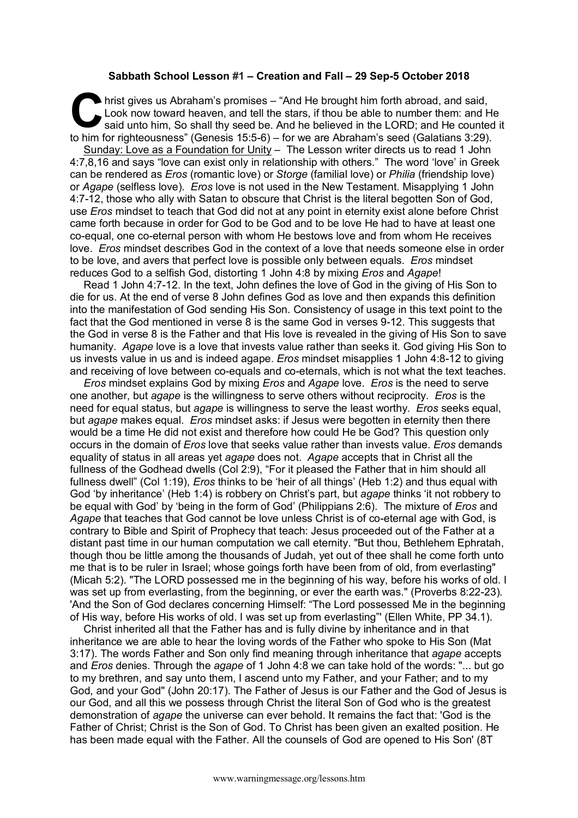## **Sabbath School Lesson #1 – Creation and Fall – 29 Sep-5 October 2018**

hrist gives us Abraham's promises – "And He brought him forth abroad, and said, Look now toward heaven, and tell the stars, if thou be able to number them: and He said unto him, So shall thy seed be. And he believed in the LORD; and He counted it to him for righteousness" (Genesis 15:5-6) – for we are Abraham's seed (Galatians 3:29). Sunday: Love as a Foundation for Unity – The Lesson writer directs us to read 1 John 4:7,8,16 and says "love can exist only in relationship with others." The word 'love' in Greek can be rendered as *Eros* (romantic love) or *Storge* (familial love) or *Philia* (friendship love) or *Agape* (selfless love). *Eros* love is not used in the New Testament. Misapplying 1 John 4:7-12, those who ally with Satan to obscure that Christ is the literal begotten Son of God, use *Eros* mindset to teach that God did not at any point in eternity exist alone before Christ came forth because in order for God to be God and to be love He had to have at least one co-equal, one co-eternal person with whom He bestows love and from whom He receives love. *Eros* mindset describes God in the context of a love that needs someone else in order to be love, and avers that perfect love is possible only between equals. *Eros* mindset reduces God to a selfish God, distorting 1 John 4:8 by mixing *Eros* and *Agape*! C Lot

Read 1 John 4:7-12. In the text, John defines the love of God in the giving of His Son to die for us. At the end of verse 8 John defines God as love and then expands this definition into the manifestation of God sending His Son. Consistency of usage in this text point to the fact that the God mentioned in verse 8 is the same God in verses 9-12. This suggests that the God in verse 8 is the Father and that His love is revealed in the giving of His Son to save humanity. *Agape* love is a love that invests value rather than seeks it. God giving His Son to us invests value in us and is indeed agape. *Eros* mindset misapplies 1 John 4:8-12 to giving and receiving of love between co-equals and co-eternals, which is not what the text teaches.

*Eros* mindset explains God by mixing *Eros* and *Agape* love. *Eros* is the need to serve one another, but *agape* is the willingness to serve others without reciprocity. *Eros* is the need for equal status, but *agape* is willingness to serve the least worthy. *Eros* seeks equal, but *agape* makes equal. *Eros* mindset asks: if Jesus were begotten in eternity then there would be a time He did not exist and therefore how could He be God? This question only occurs in the domain of *Eros* love that seeks value rather than invests value. *Eros* demands equality of status in all areas yet *agape* does not. *Agape* accepts that in Christ all the fullness of the Godhead dwells (Col 2:9), "For it pleased the Father that in him should all fullness dwell" (Col 1:19), *Eros* thinks to be 'heir of all things' (Heb 1:2) and thus equal with God 'by inheritance' (Heb 1:4) is robbery on Christ's part, but *agape* thinks 'it not robbery to be equal with God' by 'being in the form of God' (Philippians 2:6). The mixture of *Eros* and *Agape* that teaches that God cannot be love unless Christ is of co-eternal age with God, is contrary to Bible and Spirit of Prophecy that teach: Jesus proceeded out of the Father at a distant past time in our human computation we call eternity. "But thou, Bethlehem Ephratah, though thou be little among the thousands of Judah, yet out of thee shall he come forth unto me that is to be ruler in Israel; whose goings forth have been from of old, from everlasting" (Micah 5:2). "The LORD possessed me in the beginning of his way, before his works of old. I was set up from everlasting, from the beginning, or ever the earth was." (Proverbs 8:22-23). 'And the Son of God declares concerning Himself: "The Lord possessed Me in the beginning of His way, before His works of old. I was set up from everlasting"' (Ellen White, PP 34.1).

Christ inherited all that the Father has and is fully divine by inheritance and in that inheritance we are able to hear the loving words of the Father who spoke to His Son (Mat 3:17). The words Father and Son only find meaning through inheritance that *agape* accepts and *Eros* denies. Through the *agape* of 1 John 4:8 we can take hold of the words: "... but go to my brethren, and say unto them, I ascend unto my Father, and your Father; and to my God, and your God" (John 20:17). The Father of Jesus is our Father and the God of Jesus is our God, and all this we possess through Christ the literal Son of God who is the greatest demonstration of *agape* the universe can ever behold. It remains the fact that: 'God is the Father of Christ; Christ is the Son of God. To Christ has been given an exalted position. He has been made equal with the Father. All the counsels of God are opened to His Son' (8T